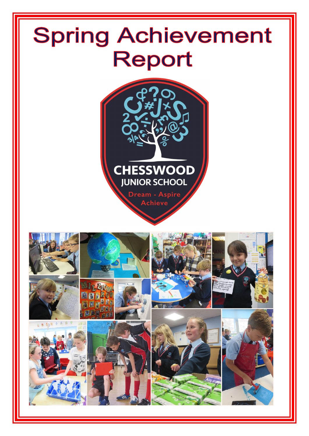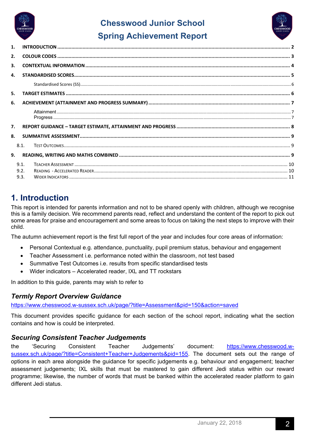

# **Chesswood Junior School Spring Achievement Report**



| 1. |              |  |  |
|----|--------------|--|--|
| 2. |              |  |  |
| 3. |              |  |  |
| 4. |              |  |  |
|    |              |  |  |
| 5. |              |  |  |
| 6. |              |  |  |
|    |              |  |  |
| 7. |              |  |  |
| 8. |              |  |  |
|    | 8.1.         |  |  |
| 9. |              |  |  |
|    | 9.1.         |  |  |
|    | 9.2.<br>9.3. |  |  |
|    |              |  |  |

# **1. Introduction**

This report is intended for parents information and not to be shared openly with children, although we recognise this is a family decision. We recommend parents read, reflect and understand the content of the report to pick out some areas for praise and encouragement and some areas to focus on taking the next steps to improve with their child.

The autumn achievement report is the first full report of the year and includes four core areas of information:

- Personal Contextual e.g. attendance, punctuality, pupil premium status, behaviour and engagement
- Teacher Assessment i.e. performance noted within the classroom, not test based
- Summative Test Outcomes i.e. results from specific standardised tests
- Wider indicators Accelerated reader, IXL and TT rockstars

In addition to this guide, parents may wish to refer to

#### *Termly Report Overview Guidance*

https://www.chesswood.w-sussex.sch.uk/page/?title=Assessment&pid=150&action=saved

This document provides specific guidance for each section of the school report, indicating what the section contains and how is could be interpreted.

#### *Securing Consistent Teacher Judgements*

the 'Securing Consistent Teacher Judgements' document: https://www.chesswood.wsussex.sch.uk/page/?title=Consistent+Teacher+Judgements&pid=155. The document sets out the range of options in each area alongside the guidance for specific judgements e.g. behaviour and engagement; teacher assessment judgements; IXL skills that must be mastered to gain different Jedi status within our reward programme; likewise, the number of words that must be banked within the accelerated reader platform to gain different Jedi status.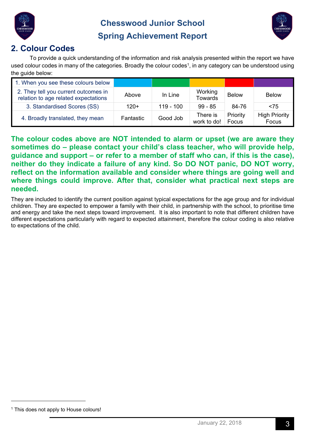



# **Spring Achievement Report**

# **2. Colour Codes**

To provide a quick understanding of the information and risk analysis presented within the report we have used colour codes in many of the categories. Broadly the colour codes<sup>1</sup>, in any category can be understood using the quide below:

| 1. When you see these colours below                                          |           |             |                           |                   |                               |
|------------------------------------------------------------------------------|-----------|-------------|---------------------------|-------------------|-------------------------------|
| 2. They tell you current outcomes in<br>relation to age related expectations | Above     | In Line     | Working<br><b>Towards</b> | <b>Below</b>      | <b>Below</b>                  |
| 3. Standardised Scores (SS)                                                  | $120+$    | $119 - 100$ | $99 - 85$                 | 84-76             | < 75                          |
| 4. Broadly translated, they mean                                             | Fantastic | Good Job    | There is<br>work to do!   | Priority<br>Focus | <b>High Priority</b><br>Focus |

**The colour codes above are NOT intended to alarm or upset (we are aware they sometimes do – please contact your child's class teacher, who will provide help, guidance and support – or refer to a member of staff who can, if this is the case), neither do they indicate a failure of any kind. So DO NOT panic, DO NOT worry, reflect on the information available and consider where things are going well and where things could improve. After that, consider what practical next steps are needed.**

They are included to identify the current position against typical expectations for the age group and for individual children. They are expected to empower a family with their child, in partnership with the school, to prioritise time and energy and take the next steps toward improvement. It is also important to note that different children have different expectations particularly with regard to expected attainment, therefore the colour coding is also relative to expectations of the child.

<sup>&</sup>lt;sup>1</sup> This does not apply to House colours!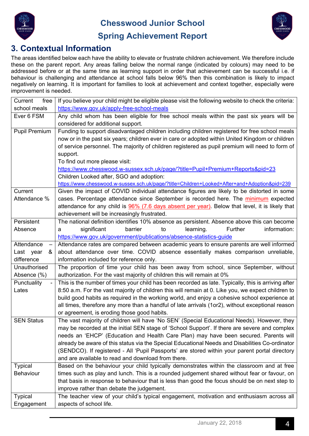



# **Spring Achievement Report**

#### **3. Contextual Information**

The areas identified below each have the ability to elevate or frustrate children achievement. We therefore include these on the parent report. Any areas falling below the normal range (indicated by colours) may need to be addressed before or at the same time as learning support in order that achievement can be successful i.e. if behaviour is challenging and attendance at school falls below 96% then this combination is likely to impact negatively on learning. It is important for families to look at achievement and context together, especially were improvement is needed.

| Current<br>free                 | If you believe your child might be eligible please visit the following website to check the criteria: |
|---------------------------------|-------------------------------------------------------------------------------------------------------|
| school meals                    | https://www.gov.uk/apply-free-school-meals                                                            |
| Ever 6 FSM                      | Any child whom has been eligible for free school meals within the past six years will be              |
|                                 | considered for additional support.                                                                    |
| <b>Pupil Premium</b>            | Funding to support disadvantaged children including children registered for free school meals         |
|                                 | now or in the past six years; children ever in care or adopted within United Kingdom or children      |
|                                 | of service personnel. The majority of children registered as pupil premium will need to form of       |
|                                 | support.                                                                                              |
|                                 | To find out more please visit:                                                                        |
|                                 | https://www.chesswood.w-sussex.sch.uk/page/?title=Pupil+Premium+Reports&pid=23                        |
|                                 | Children Looked after, SGO and adoption:                                                              |
|                                 | https://www.chesswood.w-sussex.sch.uk/page/?title=Children+Looked+After+and+Adoption&pid=239          |
| Current                         | Given the impact of COVID individual attendance figures are likely to be distorted in some            |
| Attendance %                    | cases. Percentage attendance since September is recorded here. The minimum expected                   |
|                                 | attendance for any child is 96% (7.6 days absent per year). Below that level, it is likely that       |
|                                 | achievement will be increasingly frustrated.                                                          |
| Persistent                      | The national definition identifies 10% absence as persistent. Absence above this can become           |
| Absence                         | barrier<br>information:<br>significant<br>to<br>learning.<br>Further<br>а                             |
|                                 | https://www.gov.uk/government/publications/absence-statistics-guide                                   |
| Attendance<br>$\qquad \qquad -$ | Attendance rates are compared between academic years to ensure parents are well informed              |
| Last year<br>&                  | about attendance over time. COVID absence essentially makes comparison unreliable,                    |
| difference                      | information included for reference only.                                                              |
| Unauthorised                    | The proportion of time your child has been away from school, since September, without                 |
| Absence (%)                     | authorization. For the vast majority of children this will remain at 0%                               |
| Punctuality                     | This is the number of times your child has been recorded as late. Typically, this is arriving after   |
| Lates                           | 8:50 a.m. For the vast majority of children this will remain at 0. Like you, we expect children to    |
|                                 | build good habits as required in the working world, and enjoy a cohesive school experience at         |
|                                 | all times, therefore any more than a handful of late arrivals (1or2), without exceptional reason      |
|                                 | or agreement, is eroding those good habits.                                                           |
| <b>SEN Status</b>               | The vast majority of children will have 'No SEN' (Special Educational Needs). However, they           |
|                                 | may be recorded at the initial SEN stage of 'School Support'. If there are severe and complex         |
|                                 | needs an 'EHCP' (Education and Health Care Plan) may have been secured. Parents will                  |
|                                 | already be aware of this status via the Special Educational Needs and Disabilities Co-ordinator       |
|                                 | (SENDCO). If registered - All 'Pupil Passports' are stored within your parent portal directory        |
|                                 | and are available to read and download from there.                                                    |
| <b>Typical</b>                  | Based on the behaviour your child typically demonstrates within the classroom and at free             |
| Behaviour                       | times such as play and lunch. This is a rounded judgement shared without fear or favour, on           |
|                                 | that basis in response to behaviour that is less than good the focus should be on next step to        |
|                                 | improve rather than debate the judgement.                                                             |
| <b>Typical</b>                  | The teacher view of your child's typical engagement, motivation and enthusiasm across all             |
| Engagement                      | aspects of school life.                                                                               |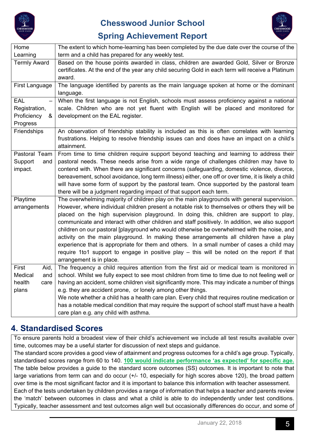



# **Spring Achievement Report**

| Home                                                         | The extent to which home-learning has been completed by the due date over the course of the                                                                                                                                                                                                                                                                                                                                                                                                                                                                                                                                                                                                                                                                                                                   |
|--------------------------------------------------------------|---------------------------------------------------------------------------------------------------------------------------------------------------------------------------------------------------------------------------------------------------------------------------------------------------------------------------------------------------------------------------------------------------------------------------------------------------------------------------------------------------------------------------------------------------------------------------------------------------------------------------------------------------------------------------------------------------------------------------------------------------------------------------------------------------------------|
| Learning                                                     | term and a child has prepared for any weekly test.                                                                                                                                                                                                                                                                                                                                                                                                                                                                                                                                                                                                                                                                                                                                                            |
| <b>Termly Award</b>                                          | Based on the house points awarded in class, children are awarded Gold, Silver or Bronze<br>certificates. At the end of the year any child securing Gold in each term will receive a Platinum<br>award.                                                                                                                                                                                                                                                                                                                                                                                                                                                                                                                                                                                                        |
| First Language                                               | The language identified by parents as the main language spoken at home or the dominant<br>language.                                                                                                                                                                                                                                                                                                                                                                                                                                                                                                                                                                                                                                                                                                           |
| EAL<br>Registration,<br>Proficiency<br>&<br>Progress         | When the first language is not English, schools must assess proficiency against a national<br>scale. Children who are not yet fluent with English will be placed and monitored for<br>development on the EAL register.                                                                                                                                                                                                                                                                                                                                                                                                                                                                                                                                                                                        |
| Friendships                                                  | An observation of friendship stability is included as this is often correlates with learning<br>frustrations. Helping to resolve friendship issues can and does have an impact on a child's<br>attainment.                                                                                                                                                                                                                                                                                                                                                                                                                                                                                                                                                                                                    |
| Pastoral Team<br>Support<br>and<br>impact.                   | From time to time children require support beyond teaching and learning to address their<br>pastoral needs. These needs arise from a wide range of challenges children may have to<br>contend with. When there are significant concerns (safeguarding, domestic violence, divorce,<br>bereavement, school avoidance, long term illness) either, one off or over time, it is likely a child<br>will have some form of support by the pastoral team. Once supported by the pastoral team<br>there will be a judgment regarding impact of that support each term.                                                                                                                                                                                                                                                |
| Playtime<br>arrangements                                     | The overwhelming majority of children play on the main playgrounds with general supervision.<br>However, where individual children present a notable risk to themselves or others they will be<br>placed on the high supervision playground. In doing this, children are support to play,<br>communicate and interact with other children and staff positively. In addition, we also support<br>children on our pastoral [playground who would otherwise be overwhelmed with the noise, and<br>activity on the main playground. In making these arrangements all children have a play<br>experience that is appropriate for them and others. In a small number of cases a child may<br>require 1to1 support to engage in positive play – this will be noted on the report if that<br>arrangement is in place. |
| First<br>Aid,<br>Medical<br>and I<br>health<br>care<br>plans | The frequency a child requires attention from the first aid or medical team is monitored in<br>school. Whilst we fully expect to see most children from time to time due to not feeling well or<br>having an accident, some children visit significantly more. This may indicate a number of things<br>e.g. they are accident prone, or lonely among other things.<br>We note whether a child has a health care plan. Every child that requires routine medication or<br>has a notable medical condition that may require the support of school staff must have a health<br>care plan e.g. any child with asthma.                                                                                                                                                                                             |

# **4. Standardised Scores**

To ensure parents hold a broadest view of their child's achievement we include all test results available over time, outcomes may be a useful starter for discussion of next steps and guidance.

The standard score provides a good view of attainment and progress outcomes for a child's age group. Typically, standardised scores range from 60 to 140. **100 would indicate performance 'as expected' for specific age.** The table below provides a guide to the standard score outcomes (SS) outcomes. It is important to note that large variations from term can and do occur (+/- 10, especially for high scores above 120), the broad pattern over time is the most significant factor and it is important to balance this information with teacher assessment. Each of the tests undertaken by children provides a range of information that helps a teacher and parents review

the 'match' between outcomes in class and what a child is able to do independently under test conditions. Typically, teacher assessment and test outcomes align well but occasionally differences do occur, and some of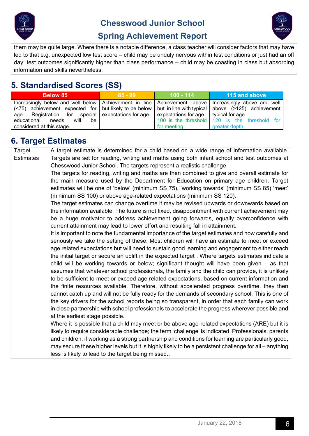



# **Spring Achievement Report**

them may be quite large. Where there is a notable difference, a class teacher will consider factors that may have led to that e.g. unexpected low test score – child may be unduly nervous within test conditions or just had an off day; test outcomes significantly higher than class performance – child may be coasting in class but absorbing information and skills nevertheless.

# **5. Standardised Scores (SS)**

| <b>Below 85</b>                                                                                                                                                                                                                        | $85 - 99$ | $100 - 114$ | 115 and above                                                  |
|----------------------------------------------------------------------------------------------------------------------------------------------------------------------------------------------------------------------------------------|-----------|-------------|----------------------------------------------------------------|
| Increasingly below and well below $\vert$ Achievement in line $\vert$ Achievement above $\vert$ Increasingly above and well<br>(<75) achievement expected for but likely to be below but in line with typical above (>125) achievement |           |             |                                                                |
| age. Registration for special expectations for age. expectations for age typical for age<br>educational<br>needs<br>be<br>will<br>considered at this stage.                                                                            |           | for meeting | 100 is the threshold 120 is the threshold for<br>greater depth |

# **6. Target Estimates**

| Target           | A target estimate is determined for a child based on a wide range of information available.            |
|------------------|--------------------------------------------------------------------------------------------------------|
| <b>Estimates</b> | Targets are set for reading, writing and maths using both infant school and test outcomes at           |
|                  | Chesswood Junior School. The targets represent a realistic challenge.                                  |
|                  | The targets for reading, writing and maths are then combined to give and overall estimate for          |
|                  | the main measure used by the Department for Education on primary age children. Target                  |
|                  | estimates will be one of 'below' (minimum SS 75), 'working towards' (minimum SS 85) 'meet'             |
|                  | (minimum SS 100) or above age-related expectations (minimum SS 120).                                   |
|                  | The target estimates can change overtime it may be revised upwards or downwards based on               |
|                  | the information available. The future is not fixed, disappointment with current achievement may        |
|                  | be a huge motivator to address achievement going forwards, equally overconfidence with                 |
|                  | current attainment may lead to lower effort and resulting fall in attainment.                          |
|                  | It is important to note the fundamental importance of the target estimates and how carefully and       |
|                  | seriously we take the setting of these. Most children will have an estimate to meet or exceed          |
|                  | age related expectations but will need to sustain good learning and engagement to either reach         |
|                  | the initial target or secure an uplift in the expected target. Where targets estimates indicate a      |
|                  | child will be working towards or below; significant thought will have been given $-$ as that           |
|                  | assumes that whatever school professionals, the family and the child can provide, it is unlikely       |
|                  | to be sufficient to meet or exceed age related expectations, based on current information and          |
|                  | the finite resources available. Therefore, without accelerated progress overtime, they then            |
|                  | cannot catch up and will not be fully ready for the demands of secondary school. This is one of        |
|                  | the key drivers for the school reports being so transparent, in order that each family can work        |
|                  | in close partnership with school professionals to accelerate the progress wherever possible and        |
|                  | at the earliest stage possible.                                                                        |
|                  | Where it is possible that a child may meet or be above age-related expectations (ARE) but it is        |
|                  | likely to require considerable challenge; the term 'challenge' is indicated. Professionals, parents    |
|                  | and children, if working as a strong partnership and conditions for learning are particularly good,    |
|                  | may secure these higher levels but it is highly likely to be a persistent challenge for all – anything |
|                  | less is likely to lead to the target being missed                                                      |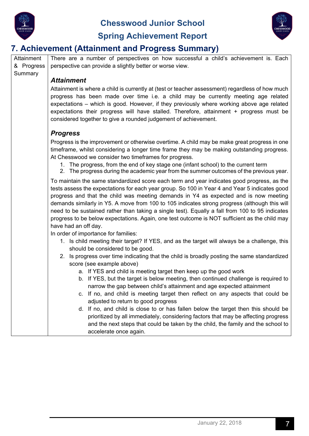

Summary

**Chesswood Junior School** 



# **Spring Achievement Report**

# **7. Achievement (Attainment and Progress Summary)**

Attainment & Progress There are a number of perspectives on how successful a child's achievement is. Each perspective can provide a slightly better or worse view.

#### *Attainment*

Attainment is where a child is currently at (test or teacher assessment) regardless of how much progress has been made over time i.e. a child may be currently meeting age related expectations – which is good. However, if they previously where working above age related expectations their progress will have stalled. Therefore, attainment + progress must be considered together to give a rounded judgement of achievement.

#### *Progress*

Progress is the improvement or otherwise overtime. A child may be make great progress in one timeframe, whilst considering a longer time frame they may be making outstanding progress. At Chesswood we consider two timeframes for progress.

- 1. The progress, from the end of key stage one (infant school) to the current term
- 2. The progress during the academic year from the summer outcomes of the previous year.

To maintain the same standardized score each term and year indicates good progress, as the tests assess the expectations for each year group. So 100 in Year 4 and Year 5 indicates good progress and that the child was meeting demands in Y4 as expected and is now meeting demands similarly in Y5. A move from 100 to 105 indicates strong progress (although this will need to be sustained rather than taking a single test). Equally a fall from 100 to 95 indicates progress to be below expectations. Again, one test outcome is NOT sufficient as the child may have had an off day.

In order of importance for families:

- 1. Is child meeting their target? If YES, and as the target will always be a challenge, this should be considered to be good.
- 2. Is progress over time indicating that the child is broadly posting the same standardized score (see example above)
	- a. If YES and child is meeting target then keep up the good work
	- b. If YES, but the target is below meeting, then continued challenge is required to narrow the gap between child's attainment and age expected attainment
	- c. If no, and child is meeting target then reflect on any aspects that could be adjusted to return to good progress
	- d. If no, and child is close to or has fallen below the target then this should be prioritized by all immediately, considering factors that may be affecting progress and the next steps that could be taken by the child, the family and the school to accelerate once again.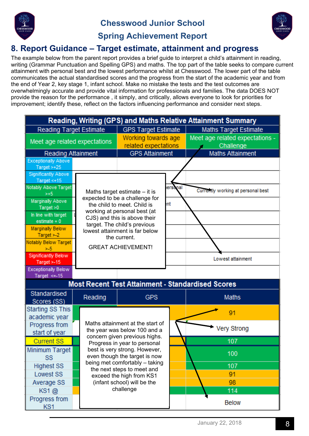





# **Spring Achievement Report**

# **8. Report Guidance – Target estimate, attainment and progress**

The example below from the parent report provides a brief guide to interpret a child's attainment in reading, writing (Grammar Punctuation and Spelling GPS) and maths. The top part of the table seeks to compare current attainment with personal best and the lowest performance whilst at Chesswood. The lower part of the table communicates the actual standardised scores and the progress from the start of the academic year and from the end of Year 2, key stage 1, infant school. Make no mistake the tests and the test outcomes are overwhelmingly accurate and provide vital information for professionals and families. The data DOES NOT provide the reason for the performance , it simply, and critically, allows everyone to look for priorities for improvement; identify these, reflect on the factors influencing performance and consider next steps.

| Reading, Writing (GPS) and Maths Relative Attainment Summary |                            |                                                                  |                                 |                                                          |  |
|--------------------------------------------------------------|----------------------------|------------------------------------------------------------------|---------------------------------|----------------------------------------------------------|--|
| Reading Target Estimate                                      | <b>GPS Target Estimate</b> |                                                                  | <b>Maths Target Estimate</b>    |                                                          |  |
| Meet age related expectations                                | Working towards age        |                                                                  | Meet age related expectations - |                                                          |  |
|                                                              |                            | related expectations                                             |                                 | Challenge                                                |  |
| <b>Reading Attainment</b>                                    |                            | <b>GPS Attainment</b>                                            |                                 | <b>Maths Attainment</b>                                  |  |
| <b>Exceptionally Above</b>                                   |                            |                                                                  |                                 |                                                          |  |
| Target $> +25$<br><b>Significantly Above</b>                 |                            |                                                                  |                                 |                                                          |  |
| Target $<+15$                                                |                            |                                                                  |                                 |                                                          |  |
| Notably Above Target                                         |                            |                                                                  | ersonal                         |                                                          |  |
| $> +5$                                                       |                            | Maths target estimate $-$ it is                                  |                                 | Currently working at personal best                       |  |
| <b>Marginally Above</b>                                      |                            | expected to be a challenge for<br>the child to meet. Child is    | :nt                             |                                                          |  |
| Target $>0$                                                  |                            | working at personal best (at                                     |                                 |                                                          |  |
| In line with target<br>$estimate = 0$                        |                            | CJS) and this is above their                                     |                                 |                                                          |  |
| <b>Marginally Below</b>                                      |                            | target. The child's previous                                     |                                 |                                                          |  |
| Target $>2$                                                  |                            | lowest attainment is far below<br>the current.                   |                                 |                                                          |  |
| <b>Notably Below Target</b>                                  |                            |                                                                  |                                 |                                                          |  |
| $> -5$                                                       |                            | <b>GREAT ACHIEVEMENT!</b>                                        |                                 |                                                          |  |
| <b>Significantly Below</b><br>Target $> -15$                 |                            |                                                                  |                                 | Lowest attainment                                        |  |
| <b>Exceptionally Below</b>                                   |                            |                                                                  |                                 |                                                          |  |
| Target $\leq -15$                                            |                            |                                                                  |                                 |                                                          |  |
|                                                              |                            |                                                                  |                                 | <b>Most Recent Test Attainment - Standardised Scores</b> |  |
| Standardised                                                 | Reading                    | <b>GPS</b>                                                       |                                 | <b>Maths</b>                                             |  |
| Scores (SS)                                                  |                            |                                                                  |                                 |                                                          |  |
| Starting SS This                                             |                            |                                                                  |                                 | 91                                                       |  |
| academic year                                                |                            |                                                                  |                                 |                                                          |  |
| Progress from                                                |                            | Maths attainment at the start of<br>the year was below 100 and a |                                 | <b>Very Strong</b>                                       |  |
| start of year                                                |                            | concern given previous highs.                                    |                                 |                                                          |  |
| <b>Current SS</b>                                            |                            | Progress in year to personal                                     |                                 | 107                                                      |  |
| Minimum Target                                               |                            | best is very strong. However,                                    |                                 | 100                                                      |  |
| SS                                                           |                            | even though the target is now<br>being met comfortably - taking  |                                 |                                                          |  |
| <b>Highest SS</b>                                            |                            | the next steps to meet and                                       |                                 | 107                                                      |  |
| Lowest SS                                                    |                            | exceed the high from KS1                                         |                                 | 91                                                       |  |
| Average SS                                                   |                            | (infant school) will be the                                      |                                 | 98                                                       |  |
| KS1@                                                         |                            | challenge                                                        |                                 | 114                                                      |  |
| Progress from                                                |                            |                                                                  |                                 | <b>Below</b>                                             |  |
| KS1                                                          |                            |                                                                  |                                 |                                                          |  |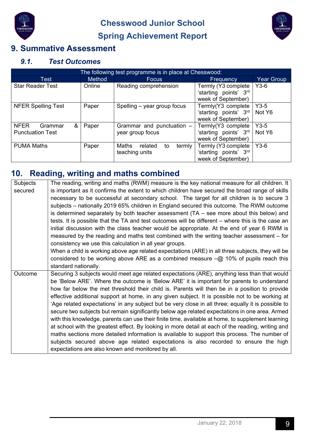

**Chesswood Junior School Spring Achievement Report** 



# **9. Summative Assessment**

#### *9.1. Test Outcomes*

|                                                        | The following test programme is in place at Chesswood: |                                                    |                                                                    |                   |  |  |
|--------------------------------------------------------|--------------------------------------------------------|----------------------------------------------------|--------------------------------------------------------------------|-------------------|--|--|
| Test                                                   | <b>Method</b>                                          | <b>Focus</b>                                       | Frequency                                                          | <b>Year Group</b> |  |  |
| <b>Star Reader Test</b>                                | Online                                                 | Reading comprehension                              | Termly (Y3 complete<br>'starting points' 3rd<br>week of September) | $Y3-6$            |  |  |
| <b>NFER Spelling Test</b>                              | Paper                                                  | Spelling – year group focus                        | Termly(Y3 complete<br>'starting points' 3rd<br>week of September)  | $Y3-5$<br>Not Y6  |  |  |
| <b>NFER</b><br>&<br>Grammar<br><b>Punctuation Test</b> | Paper                                                  | Grammar and punctuation -<br>year group focus      | Termly(Y3 complete<br>'starting points' 3rd<br>week of September)  | $Y3-5$<br>Not Y6  |  |  |
| <b>PUMA Maths</b>                                      | Paper                                                  | Maths<br>related<br>termly<br>to<br>teaching units | Termly (Y3 complete<br>'starting points' 3rd<br>week of September) | $Y3-6$            |  |  |

# **10. Reading, writing and maths combined**

| Subjects | The reading, writing and maths (RWM) measure is the key national measure for all children. It       |
|----------|-----------------------------------------------------------------------------------------------------|
| secured  | is important as it confirms the extent to which children have secured the broad range of skills     |
|          | necessary to be successful at secondary school. The target for all children is to secure 3          |
|          | subjects – nationally 2019 65% children in England secured this outcome. The RWM outcome            |
|          | is determined separately by both teacher assessment $(TA - \text{see more about this below})$ and   |
|          | tests. It is possible that the TA and test outcomes will be different – where this is the case an   |
|          | initial discussion with the class teacher would be appropriate. At the end of year 6 RWM is         |
|          | measured by the reading and maths test combined with the writing teacher assessment – for           |
|          | consistency we use this calculation in all year groups.                                             |
|          | When a child is working above age related expectations (ARE) in all three subjects, they will be    |
|          | considered to be working above ARE as a combined measure $-\omega$ 10% of pupils reach this         |
|          | standard nationally.                                                                                |
| Outcome  | Securing 3 subjects would meet age related expectations (ARE), anything less than that would        |
|          | be 'Below ARE'. Where the outcome is 'Below ARE' it is important for parents to understand          |
|          | how far below the met threshold their child is. Parents will then be in a position to provide       |
|          | effective additional support at home, in any given subject. It is possible not to be working at     |
|          | 'Age related expectations' in any subject but be very close in all three; equally it is possible to |
|          | secure two subjects but remain significantly below age related expectations in one area. Armed      |
|          | with this knowledge, parents can use their finite time, available at home, to supplement learning   |
|          | at school with the greatest effect. By looking in more detail at each of the reading, writing and   |
|          | maths sections more detailed information is available to support this process. The number of        |
|          | subjects secured above age related expectations is also recorded to ensure the high                 |
|          | expectations are also known and monitored by all.                                                   |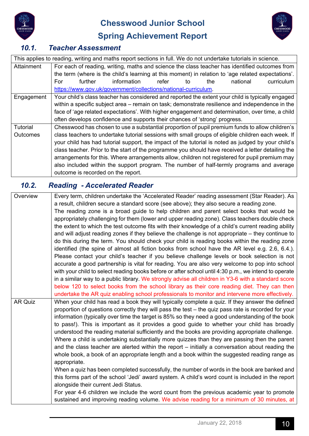



# **Spring Achievement Report**

| 10.1. | <b>Teacher Assessment</b> |
|-------|---------------------------|
|-------|---------------------------|

|                 | This applies to reading, writing and maths report sections in full. We do not undertake tutorials in science. |  |  |
|-----------------|---------------------------------------------------------------------------------------------------------------|--|--|
| Attainment      | For each of reading, writing, maths and science the class teacher has identified outcomes from                |  |  |
|                 | the term (where is the child's learning at this moment) in relation to 'age related expectations'.            |  |  |
|                 | information<br>further<br>refer<br>national<br>curriculum<br>For<br>the<br>to                                 |  |  |
|                 | https://www.gov.uk/government/collections/national-curriculum.                                                |  |  |
| Engagement      | Your child's class teacher has considered and reported the extent your child is typically engaged             |  |  |
|                 | within a specific subject area – remain on task; demonstrate resilience and independence in the               |  |  |
|                 | face of 'age related expectations'. With higher engagement and determination, over time, a child              |  |  |
|                 | often develops confidence and supports their chances of 'strong' progress.                                    |  |  |
| <b>Tutorial</b> | Chesswood has chosen to use a substantial proportion of pupil premium funds to allow children's               |  |  |
| <b>Outcomes</b> | class teachers to undertake tutorial sessions with small groups of eligible children each week. If            |  |  |
|                 | your child has had tutorial support, the impact of the tutorial is noted as judged by your child's            |  |  |
|                 | class teacher. Prior to the start of the programme you should have received a letter detailing the            |  |  |
|                 | arrangements for this. Where arrangements allow, children not registered for pupil premium may                |  |  |
|                 | also included within the support program. The number of half-termly programs and average                      |  |  |
|                 | outcome is recorded on the report.                                                                            |  |  |

# *10.2. Reading - Accelerated Reader*

| Overview | Every term, children undertake the 'Accelerated Reader' reading assessment (Star Reader). As         |
|----------|------------------------------------------------------------------------------------------------------|
|          | a result, children secure a standard score (see above); they also secure a reading zone.             |
|          | The reading zone is a broad guide to help children and parent select books that would be             |
|          | appropriately challenging for them (lower and upper reading zone). Class teachers double check       |
|          | the extent to which the test outcome fits with their knowledge of a child's current reading ability  |
|          | and will adjust reading zones if they believe the challenge is not appropriate – they continue to    |
|          | do this during the term. You should check your child is reading books within the reading zone        |
|          | identified (the spine of almost all fiction books from school have the AR level e.g. 2.6, 6.4.).     |
|          | Please contact your child's teacher if you believe challenge levels or book selection is not         |
|          | accurate a good partnership is vital for reading. You are also very welcome to pop into school       |
|          | with your child to select reading books before or after school until 4:30 p.m., we intend to operate |
|          | in a similar way to a public library. We strongly advise all children in Y3-6 with a standard score  |
|          | below 120 to select books from the school library as their core reading diet. They can then          |
|          | undertake the AR quiz enabling school professionals to monitor and intervene more effectively.       |
| AR Quiz  | When your child has read a book they will typically complete a quiz. If they answer the defined      |
|          | proportion of questions correctly they will pass the test – the quiz pass rate is recorded for your  |
|          | information (typically over time the target is 85% so they need a good understanding of the book     |
|          | to pass!). This is important as it provides a good guide to whether your child has broadly           |
|          | understood the reading material sufficiently and the books are providing appropriate challenge.      |
|          | Where a child is undertaking substantially more quizzes than they are passing then the parent        |
|          | and the class teacher are alerted within the report - initially a conversation about reading the     |
|          | whole book, a book of an appropriate length and a book within the suggested reading range as         |
|          | appropriate.                                                                                         |
|          | When a quiz has been completed successfully, the number of words in the book are banked and          |
|          | this forms part of the school 'Jedi' award system. A child's word count is included in the report    |
|          | alongside their current Jedi Status.                                                                 |
|          | For year 4-6 children we include the word count from the previous academic year to promote           |
|          | sustained and improving reading volume. We advise reading for a minimum of 30 minutes, at            |